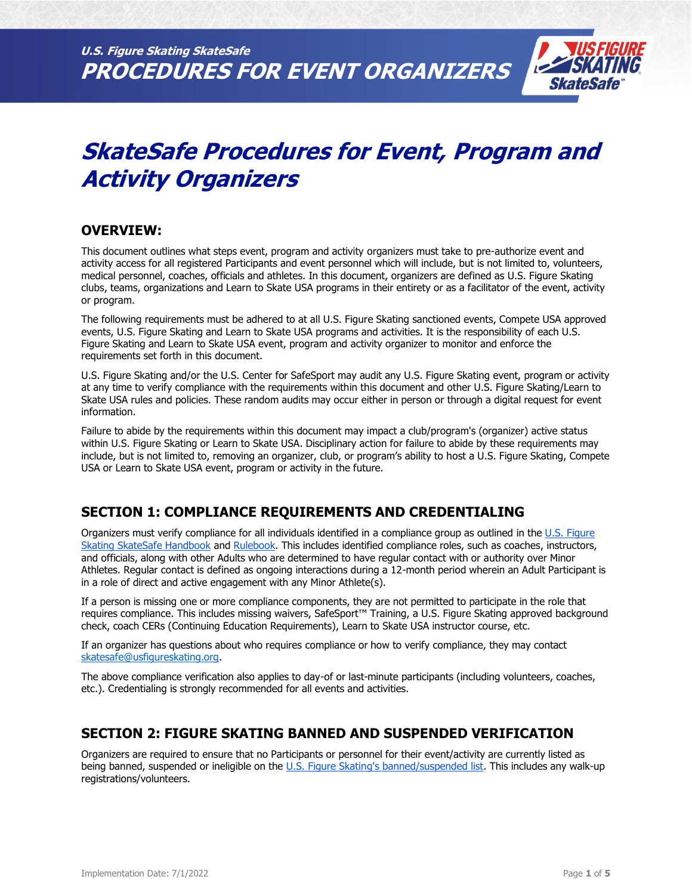

# **SkateSafe Procedures for Event, Program and Activity Organizers**

## **OVERVIEW:**

This document outlines what steps event, program and activity organizers must take to pre-authorize event and activity access for all registered Participants and event personnel which will include, but is not limited to, volunteers, medical personnel, coaches, officials and athletes. In this document, organizers are defined as U.S. Figure Skating clubs, teams, organizations and Learn to Skate USA programs in their entirety or as a facilitator of the event, activity or program.

The following requirements must be adhered to at all U.S. Figure Skating sanctioned events, Compete USA approved events, U.S. Figure Skating and Learn to Skate USA programs and activities. It is the responsibility of each U.S. Figure Skating and Learn to Skate USA event, program and activity organizer to monitor and enforce the requirements set forth in this document.

U.S. Figure Skating and/or the U.S. Center for SafeSport may audit any U.S. Figure Skating event, program or activity at any time to verify compliance with the requirements within this document and other U.S. Figure Skating/Learn to Skate USA rules and policies. These random audits may occur either in person or through a digital request for event information.

Failure to abide by the requirements within this document may impact a club/program's (organizer) active status within U.S. Figure Skating or Learn to Skate USA. Disciplinary action for failure to abide by these requirements may include, but is not limited to, removing an organizer, club, or program's ability to host a U.S. Figure Skating, Compete USA or Learn to Skate USA event, program or activity in the future.

# **SECTION 1: COMPLIANCE REQUIREMENTS AND CREDENTIALING**

Organizers must verify compliance for all individuals identified in a compliance group as outlined in the U.S. Figure [Skating SkateSafe Handbook](https://www.usfigureskating.org/sites/default/files/media-files/SkateSafe%20Handbook.pdf) an[d Rulebook.](https://www.usfigureskating.org/about/rules) This includes identified compliance roles, such as coaches, instructors, and officials, along with other Adults who are determined to have regular contact with or authority over Minor Athletes. Regular contact is defined as ongoing interactions during a 12-month period wherein an Adult Participant is in a role of direct and active engagement with any Minor Athlete(s).

If a person is missing one or more compliance components, they are not permitted to participate in the role that requires compliance. This includes missing waivers, SafeSport™ Training, a U.S. Figure Skating approved background check, coach CERs (Continuing Education Requirements), Learn to Skate USA instructor course, etc.

If an organizer has questions about who requires compliance or how to verify compliance, they may contact [skatesafe@usfigureskating.org.](mailto:skatesafe@usfigureskating.org)

The above compliance verification also applies to day-of or last-minute participants (including volunteers, coaches, etc.). Credentialing is strongly recommended for all events and activities.

## **SECTION 2: FIGURE SKATING BANNED AND SUSPENDED VERIFICATION**

Organizers are required to ensure that no Participants or personnel for their event/activity are currently listed as being banned, suspended or ineligible on the [U.S. Figure Skating's banned/suspended list.](https://www.usfigureskating.org/grievances) This includes any walk-up registrations/volunteers.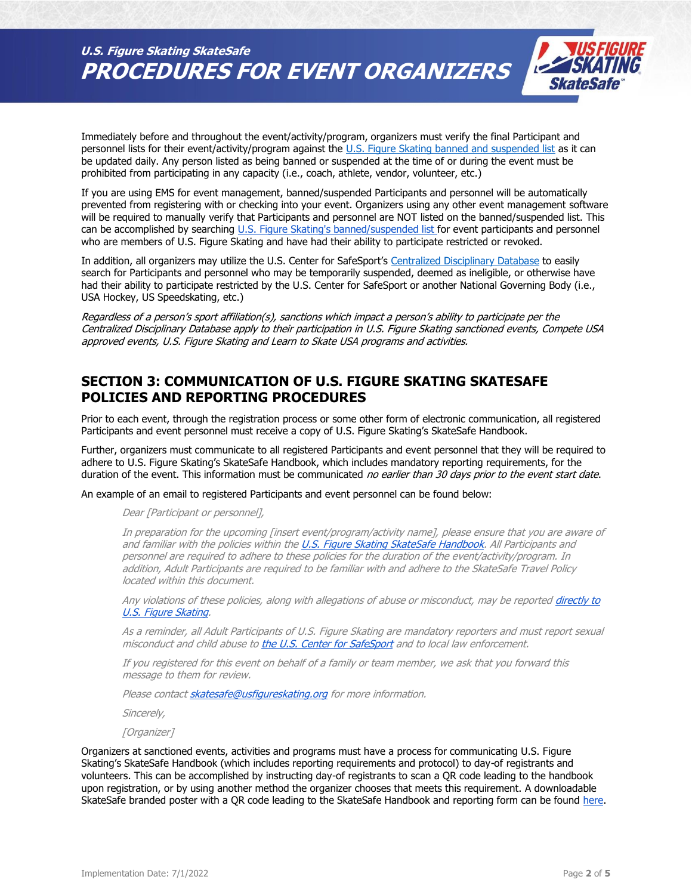**U.S. Figure Skating SkateSafe PROCEDURES FOR EVENT ORGANIZERS**



Immediately before and throughout the event/activity/program, organizers must verify the final Participant and personnel lists for their event/activity/program against the [U.S. Figure Skating banned and suspended list](https://www.usfigureskating.org/grievances) as it can be updated daily. Any person listed as being banned or suspended at the time of or during the event must be prohibited from participating in any capacity (i.e., coach, athlete, vendor, volunteer, etc.)

If you are using EMS for event management, banned/suspended Participants and personnel will be automatically prevented from registering with or checking into your event. Organizers using any other event management software will be required to manually verify that Participants and personnel are NOT listed on the banned/suspended list. This can be accomplished by searching [U.S. Figure Skating's banned/suspended list](https://www.usfigureskating.org/grievances) for event participants and personnel who are members of U.S. Figure Skating and have had their ability to participate restricted or revoked.

In addition, all organizers may utilize the U.S. Center for SafeSport's [Centralized Disciplinary Database](https://uscenterforsafesport.org/response-and-resolution/centralized-disciplinary-database/) to easily search for Participants and personnel who may be temporarily suspended, deemed as ineligible, or otherwise have had their ability to participate restricted by the U.S. Center for SafeSport or another National Governing Body (i.e., USA Hockey, US Speedskating, etc.)

Regardless of a person's sport affiliation(s), sanctions which impact a person's ability to participate per the Centralized Disciplinary Database apply to their participation in U.S. Figure Skating sanctioned events, Compete USA approved events, U.S. Figure Skating and Learn to Skate USA programs and activities.

## **SECTION 3: COMMUNICATION OF U.S. FIGURE SKATING SKATESAFE POLICIES AND REPORTING PROCEDURES**

Prior to each event, through the registration process or some other form of electronic communication, all registered Participants and event personnel must receive a copy of U.S. Figure Skating's SkateSafe Handbook.

Further, organizers must communicate to all registered Participants and event personnel that they will be required to adhere to U.S. Figure Skating's SkateSafe Handbook, which includes mandatory reporting requirements, for the duration of the event. This information must be communicated no earlier than 30 days prior to the event start date.

An example of an email to registered Participants and event personnel can be found below:

Dear [Participant or personnel],

In preparation for the upcoming [insert event/program/activity name], please ensure that you are aware of and familiar with th[e](https://www.usfigureskating.org/sites/default/files/media-files/SkateSafe%20Handbook.pdf) policies within the [U.S. Figure Skating SkateSafe Handbook.](https://www.usfigureskating.org/sites/default/files/media-files/SkateSafe%20Handbook.pdf) All Participants and personnel are required to adhere to these policies for the duration of the event/activity/program. In addition, Adult Participants are required to be familiar with and adhere to the SkateSafe Travel Policy located within this document.

Any violations of these policies, along with allegations of abuse or miscon[d](http://www.usfigureskating.org/skatesafe)uct, may be reported directly to [U.S. Figure Skating.](http://www.usfigureskating.org/skatesafe)

As a reminder, all Adult Participants of U.S. Figure Skating are mandatory reporters and must report sexual misc[o](https://uscenterforsafesport.org/report-a-concern/)nduct and child abuse to [the U.S. Center for SafeSport](https://uscenterforsafesport.org/report-a-concern/) and to local law enforcement.

If you registered for this event on behalf of a family or team member, we ask that you forward this message to them for review.

Please contac[t skatesafe@usfigureskating.org](mailto:skatesafe@usfigureskating.org) for more information.

Sincerely,

[Organizer]

Organizers at sanctioned events, activities and programs must have a process for communicating U.S. Figure Skating's SkateSafe Handbook (which includes reporting requirements and protocol) to day-of registrants and volunteers. This can be accomplished by instructing day-of registrants to scan a QR code leading to the handbook upon registration, or by using another method the organizer chooses that meets this requirement. A downloadable SkateSafe branded poster with a QR code leading to the SkateSafe Handbook and reporting form can be foun[d](https://www.usfigureskating.org/sites/default/files/media-files/2021_SkateSafe_PledgePoster1.jpg) [here.](https://www.usfigureskating.org/sites/default/files/media-files/2021_SkateSafe_PledgePoster1.jpg)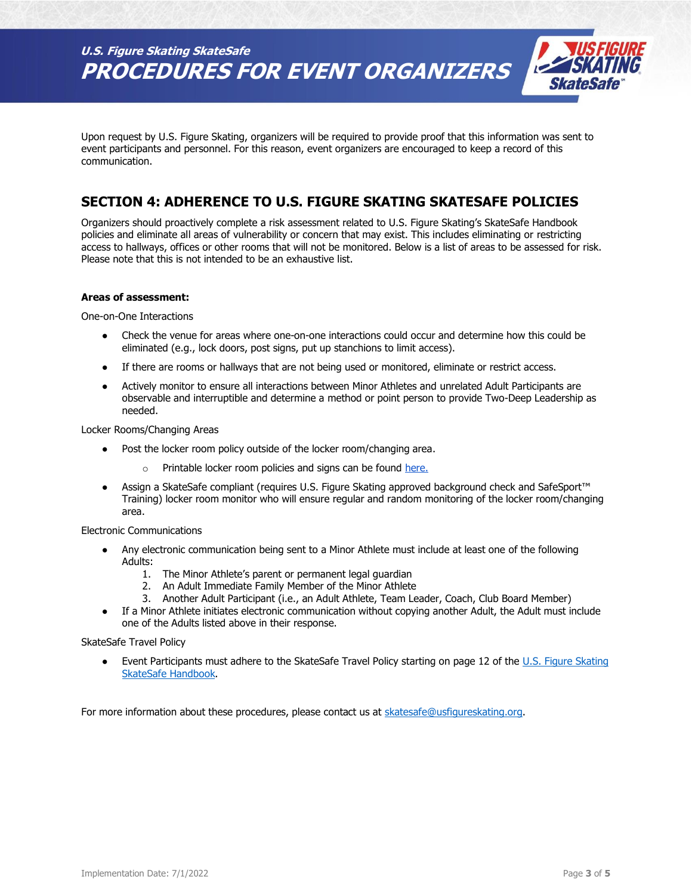**U.S. Figure Skating SkateSafe PROCEDURES FOR EVENT ORGANIZERS**



Upon request by U.S. Figure Skating, organizers will be required to provide proof that this information was sent to event participants and personnel. For this reason, event organizers are encouraged to keep a record of this communication.

# **SECTION 4: ADHERENCE TO U.S. FIGURE SKATING SKATESAFE POLICIES**

Organizers should proactively complete a risk assessment related to U.S. Figure Skating's SkateSafe Handbook policies and eliminate all areas of vulnerability or concern that may exist. This includes eliminating or restricting access to hallways, offices or other rooms that will not be monitored. Below is a list of areas to be assessed for risk. Please note that this is not intended to be an exhaustive list.

## **Areas of assessment:**

One-on-One Interactions

- Check the venue for areas where one-on-one interactions could occur and determine how this could be eliminated (e.g., lock doors, post signs, put up stanchions to limit access).
- If there are rooms or hallways that are not being used or monitored, eliminate or restrict access.
- Actively monitor to ensure all interactions between Minor Athletes and unrelated Adult Participants are observable and interruptible and determine a method or point person to provide Two-Deep Leadership as needed.

Locker Rooms/Changing Areas

- Post the locker room policy outside of the locker room/changing area.
	- Printable locker room policies an[d](https://www.usfigureskating.org/skatesafe) signs can be found [here.](https://www.usfigureskating.org/skatesafe)
- Assign a SkateSafe compliant (requires U.S. Figure Skating approved background check and SafeSport™ Training) locker room monitor who will ensure regular and random monitoring of the locker room/changing area.

#### Electronic Communications

- Any electronic communication being sent to a Minor Athlete must include at least one of the following Adults:
	- 1. The Minor Athlete's parent or permanent legal guardian
	- 2. An Adult Immediate Family Member of the Minor Athlete
	- 3. Another Adult Participant (i.e., an Adult Athlete, Team Leader, Coach, Club Board Member)
- If a Minor Athlete initiates electronic communication without copying another Adult, the Adult must include one of the Adults listed above in their response.

SkateSafe Travel Policy

Event Participants must adhere to the SkateSafe Travel Policy starting on page 12 of the U.S. Figure Skating [SkateSafe Handbook.](https://www.usfigureskating.org/sites/default/files/media-files/SkateSafe%20Handbook.pdf)

For more information about these procedures, please contact us at [skatesafe@usfigureskating.org.](mailto:skatesafe@usfigureskating.org)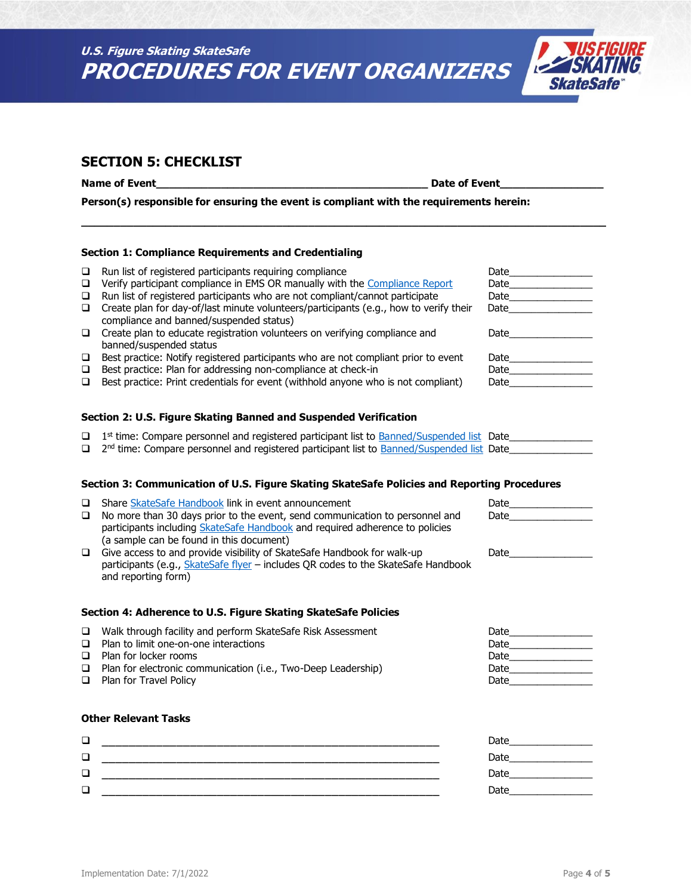



## **SECTION 5: CHECKLIST**

**Name of Event\_\_\_\_\_\_\_\_\_\_\_\_\_\_\_\_\_\_\_\_\_\_\_\_\_\_\_\_\_\_\_\_\_\_\_\_\_\_\_\_\_\_ Date of Event\_\_\_\_\_\_\_\_\_\_\_\_\_\_\_\_**

**Person(s) responsible for ensuring the event is compliant with the requirements herein:** 

## **Section 1: Compliance Requirements and Credentialing**

|        | $\Box$ Run list of registered participants requiring compliance                       | Date |
|--------|---------------------------------------------------------------------------------------|------|
| $\Box$ | Verify participant compliance in EMS OR manually with the Compliance Report           | Date |
| $\Box$ | Run list of registered participants who are not compliant/cannot participate          | Date |
| $\Box$ | Create plan for day-of/last minute volunteers/participants (e.g., how to verify their | Date |
|        | compliance and banned/suspended status)                                               |      |
| $\Box$ | Create plan to educate registration volunteers on verifying compliance and            | Date |
|        | banned/suspended status                                                               |      |
| □      | Best practice: Notify registered participants who are not compliant prior to event    | Date |
| $\Box$ | Best practice: Plan for addressing non-compliance at check-in                         | Date |
| □      | Best practice: Print credentials for event (withhold anyone who is not compliant)     | Date |
|        |                                                                                       |      |

**\_\_\_\_\_\_\_\_\_\_\_\_\_\_\_\_\_\_\_\_\_\_\_\_\_\_\_\_\_\_\_\_\_\_\_\_\_\_\_\_\_\_\_\_\_\_\_\_\_\_\_\_\_\_\_\_\_\_\_\_\_\_\_\_\_\_\_\_\_\_\_\_\_\_\_\_\_\_\_\_\_**

## **Section 2: U.S. Figure Skating Banned and Suspended Verification**

| $\Box$ 1 <sup>st</sup> time: Compare personnel and registered participant list to <b>Banned/Suspended list</b> Date |  |
|---------------------------------------------------------------------------------------------------------------------|--|
| □ 2 <sup>nd</sup> time: Compare personnel and registered participant list to Banned/Suspended list Date             |  |

## **Section 3: Communication of U.S. Figure Skating SkateSafe Policies and Reporting Procedures**

| $\Box$ Share SkateSafe Handbook link in event announcement                          | Date |
|-------------------------------------------------------------------------------------|------|
| $\Box$ No more than 30 days prior to the event, send communication to personnel and | Date |
| participants including SkateSafe Handbook and required adherence to policies        |      |
| (a sample can be found in this document)                                            |      |
| Give access to and provide visibility of SkateSafe Handbook for walk-up             | Date |
| participants (e.g., SkateSafe flyer - includes QR codes to the SkateSafe Handbook   |      |
| and reporting form)                                                                 |      |

#### **Section 4: Adherence to U.S. Figure Skating SkateSafe Policies**

| $\Box$ Walk through facility and perform SkateSafe Risk Assessment   | Date |
|----------------------------------------------------------------------|------|
| $\Box$ Plan to limit one-on-one interactions                         | Date |
| $\Box$ Plan for locker rooms                                         | Date |
| $\Box$ Plan for electronic communication (i.e., Two-Deep Leadership) | Date |
| $\Box$ Plan for Travel Policy                                        | Date |

## **Other Relevant Tasks**

| $\Box$ | Date |
|--------|------|
| □      | Date |
| □      | Date |
| $\Box$ | Date |